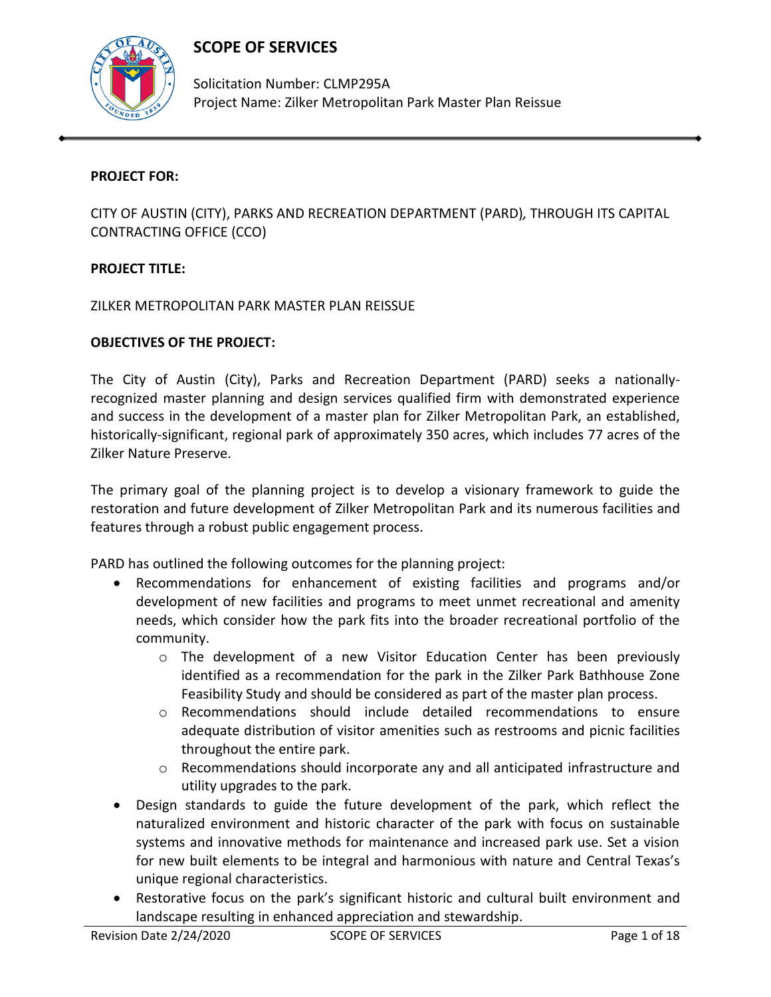# **SCOPE OF SERVICES**



Solicitation Number: CLMP295A Project Name: Zilker Metropolitan Park Master Plan Reissue

## **PROJECT FOR:**

CITY OF AUSTIN (CITY), PARKS AND RECREATION DEPARTMENT (PARD)*,* THROUGH ITS CAPITAL CONTRACTING OFFICE (CCO)

## **PROJECT TITLE:**

ZILKER METROPOLITAN PARK MASTER PLAN REISSUE

#### **OBJECTIVES OF THE PROJECT:**

The City of Austin (City), Parks and Recreation Department (PARD) seeks a nationallyrecognized master planning and design services qualified firm with demonstrated experience and success in the development of a master plan for Zilker Metropolitan Park, an established, historically-significant, regional park of approximately 350 acres, which includes 77 acres of the Zilker Nature Preserve.

The primary goal of the planning project is to develop a visionary framework to guide the restoration and future development of Zilker Metropolitan Park and its numerous facilities and features through a robust public engagement process.

PARD has outlined the following outcomes for the planning project:

- Recommendations for enhancement of existing facilities and programs and/or development of new facilities and programs to meet unmet recreational and amenity needs, which consider how the park fits into the broader recreational portfolio of the community.
	- $\circ$  The development of a new Visitor Education Center has been previously identified as a recommendation for the park in the Zilker Park Bathhouse Zone Feasibility Study and should be considered as part of the master plan process.
	- o Recommendations should include detailed recommendations to ensure adequate distribution of visitor amenities such as restrooms and picnic facilities throughout the entire park.
	- o Recommendations should incorporate any and all anticipated infrastructure and utility upgrades to the park.
- Design standards to guide the future development of the park, which reflect the naturalized environment and historic character of the park with focus on sustainable systems and innovative methods for maintenance and increased park use. Set a vision for new built elements to be integral and harmonious with nature and Central Texas's unique regional characteristics.
- Restorative focus on the park's significant historic and cultural built environment and landscape resulting in enhanced appreciation and stewardship.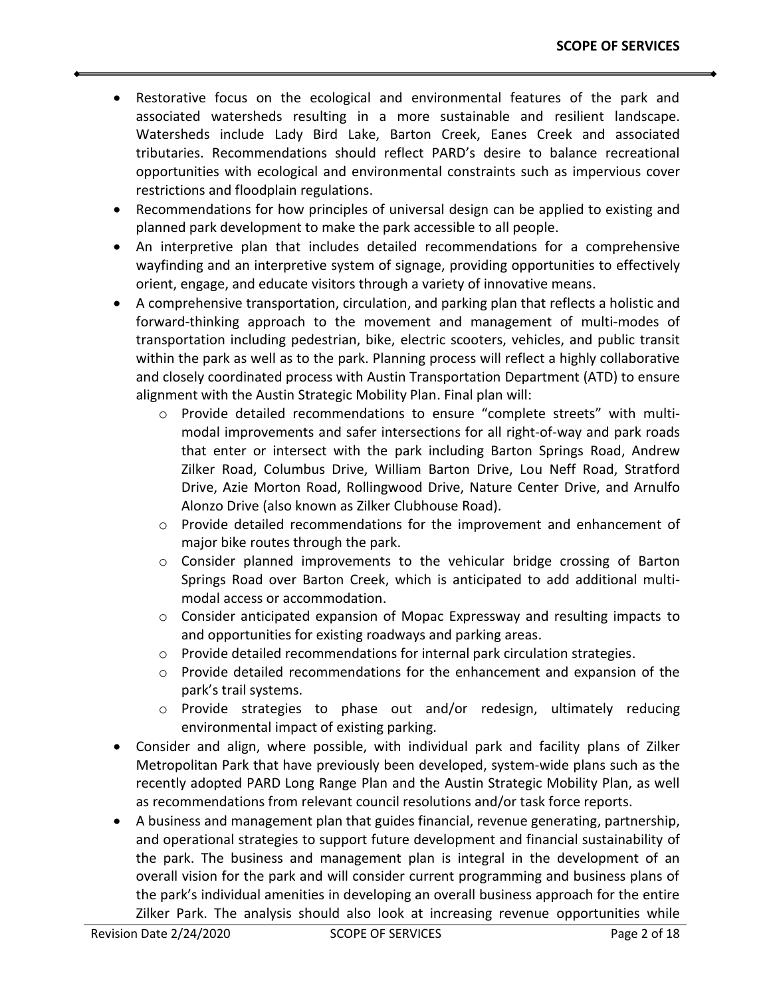- Restorative focus on the ecological and environmental features of the park and associated watersheds resulting in a more sustainable and resilient landscape. Watersheds include Lady Bird Lake, Barton Creek, Eanes Creek and associated tributaries. Recommendations should reflect PARD's desire to balance recreational opportunities with ecological and environmental constraints such as impervious cover restrictions and floodplain regulations.
- Recommendations for how principles of universal design can be applied to existing and planned park development to make the park accessible to all people.
- An interpretive plan that includes detailed recommendations for a comprehensive wayfinding and an interpretive system of signage, providing opportunities to effectively orient, engage, and educate visitors through a variety of innovative means.
- A comprehensive transportation, circulation, and parking plan that reflects a holistic and forward-thinking approach to the movement and management of multi-modes of transportation including pedestrian, bike, electric scooters, vehicles, and public transit within the park as well as to the park. Planning process will reflect a highly collaborative and closely coordinated process with Austin Transportation Department (ATD) to ensure alignment with the Austin Strategic Mobility Plan. Final plan will:
	- o Provide detailed recommendations to ensure "complete streets" with multimodal improvements and safer intersections for all right-of-way and park roads that enter or intersect with the park including Barton Springs Road, Andrew Zilker Road, Columbus Drive, William Barton Drive, Lou Neff Road, Stratford Drive, Azie Morton Road, Rollingwood Drive, Nature Center Drive, and Arnulfo Alonzo Drive (also known as Zilker Clubhouse Road).
	- $\circ$  Provide detailed recommendations for the improvement and enhancement of major bike routes through the park.
	- $\circ$  Consider planned improvements to the vehicular bridge crossing of Barton Springs Road over Barton Creek, which is anticipated to add additional multimodal access or accommodation.
	- o Consider anticipated expansion of Mopac Expressway and resulting impacts to and opportunities for existing roadways and parking areas.
	- $\circ$  Provide detailed recommendations for internal park circulation strategies.
	- $\circ$  Provide detailed recommendations for the enhancement and expansion of the park's trail systems.
	- $\circ$  Provide strategies to phase out and/or redesign, ultimately reducing environmental impact of existing parking.
- Consider and align, where possible, with individual park and facility plans of Zilker Metropolitan Park that have previously been developed, system-wide plans such as the recently adopted PARD Long Range Plan and the Austin Strategic Mobility Plan, as well as recommendations from relevant council resolutions and/or task force reports.
- A business and management plan that guides financial, revenue generating, partnership, and operational strategies to support future development and financial sustainability of the park. The business and management plan is integral in the development of an overall vision for the park and will consider current programming and business plans of the park's individual amenities in developing an overall business approach for the entire Zilker Park. The analysis should also look at increasing revenue opportunities while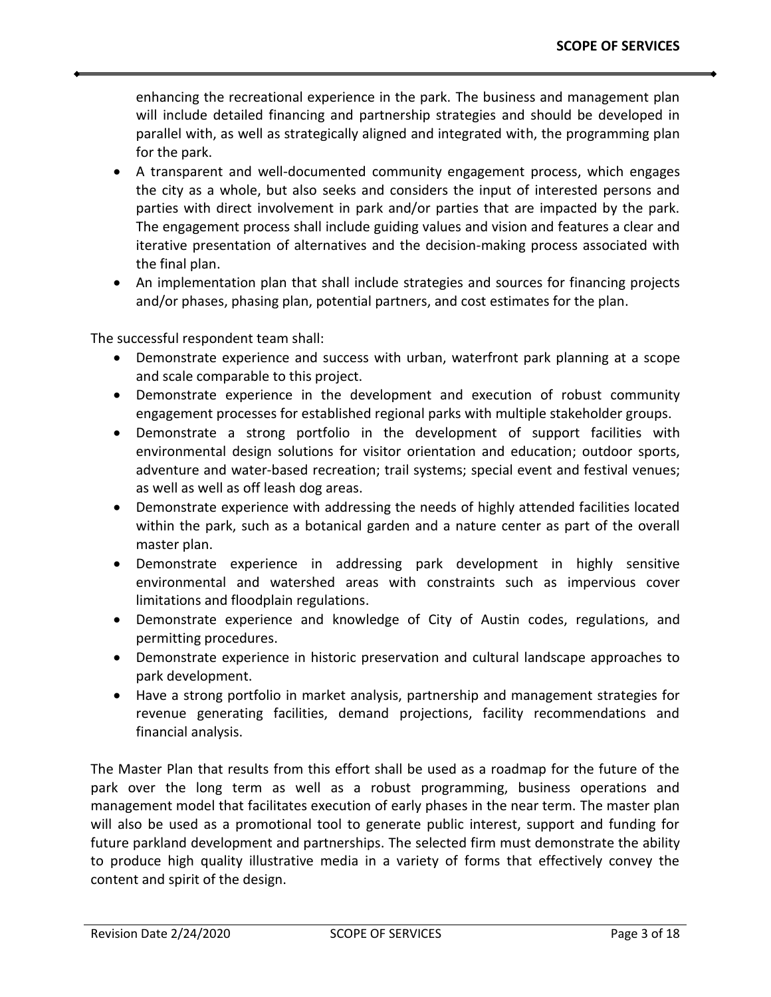enhancing the recreational experience in the park. The business and management plan will include detailed financing and partnership strategies and should be developed in parallel with, as well as strategically aligned and integrated with, the programming plan for the park.

- A transparent and well-documented community engagement process, which engages the city as a whole, but also seeks and considers the input of interested persons and parties with direct involvement in park and/or parties that are impacted by the park. The engagement process shall include guiding values and vision and features a clear and iterative presentation of alternatives and the decision-making process associated with the final plan.
- An implementation plan that shall include strategies and sources for financing projects and/or phases, phasing plan, potential partners, and cost estimates for the plan.

The successful respondent team shall:

- Demonstrate experience and success with urban, waterfront park planning at a scope and scale comparable to this project.
- Demonstrate experience in the development and execution of robust community engagement processes for established regional parks with multiple stakeholder groups.
- Demonstrate a strong portfolio in the development of support facilities with environmental design solutions for visitor orientation and education; outdoor sports, adventure and water-based recreation; trail systems; special event and festival venues; as well as well as off leash dog areas.
- Demonstrate experience with addressing the needs of highly attended facilities located within the park, such as a botanical garden and a nature center as part of the overall master plan.
- Demonstrate experience in addressing park development in highly sensitive environmental and watershed areas with constraints such as impervious cover limitations and floodplain regulations.
- Demonstrate experience and knowledge of City of Austin codes, regulations, and permitting procedures.
- Demonstrate experience in historic preservation and cultural landscape approaches to park development.
- Have a strong portfolio in market analysis, partnership and management strategies for revenue generating facilities, demand projections, facility recommendations and financial analysis.

The Master Plan that results from this effort shall be used as a roadmap for the future of the park over the long term as well as a robust programming, business operations and management model that facilitates execution of early phases in the near term. The master plan will also be used as a promotional tool to generate public interest, support and funding for future parkland development and partnerships. The selected firm must demonstrate the ability to produce high quality illustrative media in a variety of forms that effectively convey the content and spirit of the design.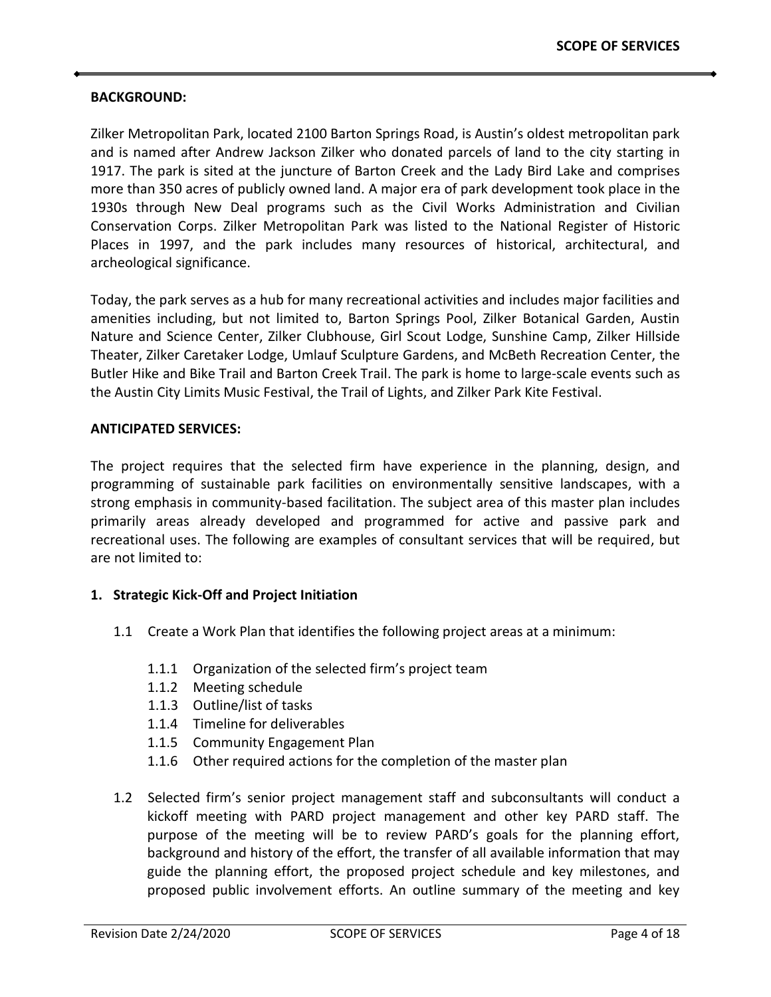#### **BACKGROUND:**

Zilker Metropolitan Park, located 2100 Barton Springs Road, is Austin's oldest metropolitan park and is named after Andrew Jackson Zilker who donated parcels of land to the city starting in 1917. The park is sited at the juncture of Barton Creek and the Lady Bird Lake and comprises more than 350 acres of publicly owned land. A major era of park development took place in the 1930s through New Deal programs such as the Civil Works Administration and Civilian Conservation Corps. Zilker Metropolitan Park was listed to the National Register of Historic Places in 1997, and the park includes many resources of historical, architectural, and archeological significance.

Today, the park serves as a hub for many recreational activities and includes major facilities and amenities including, but not limited to, Barton Springs Pool, Zilker Botanical Garden, Austin Nature and Science Center, Zilker Clubhouse, Girl Scout Lodge, Sunshine Camp, Zilker Hillside Theater, Zilker Caretaker Lodge, Umlauf Sculpture Gardens, and McBeth Recreation Center, the Butler Hike and Bike Trail and Barton Creek Trail. The park is home to large-scale events such as the Austin City Limits Music Festival, the Trail of Lights, and Zilker Park Kite Festival.

#### **ANTICIPATED SERVICES:**

The project requires that the selected firm have experience in the planning, design, and programming of sustainable park facilities on environmentally sensitive landscapes, with a strong emphasis in community-based facilitation. The subject area of this master plan includes primarily areas already developed and programmed for active and passive park and recreational uses. The following are examples of consultant services that will be required, but are not limited to:

#### **1. Strategic Kick-Off and Project Initiation**

- 1.1 Create a Work Plan that identifies the following project areas at a minimum:
	- 1.1.1 Organization of the selected firm's project team
	- 1.1.2 Meeting schedule
	- 1.1.3 Outline/list of tasks
	- 1.1.4 Timeline for deliverables
	- 1.1.5 Community Engagement Plan
	- 1.1.6 Other required actions for the completion of the master plan
- 1.2 Selected firm's senior project management staff and subconsultants will conduct a kickoff meeting with PARD project management and other key PARD staff. The purpose of the meeting will be to review PARD's goals for the planning effort, background and history of the effort, the transfer of all available information that may guide the planning effort, the proposed project schedule and key milestones, and proposed public involvement efforts. An outline summary of the meeting and key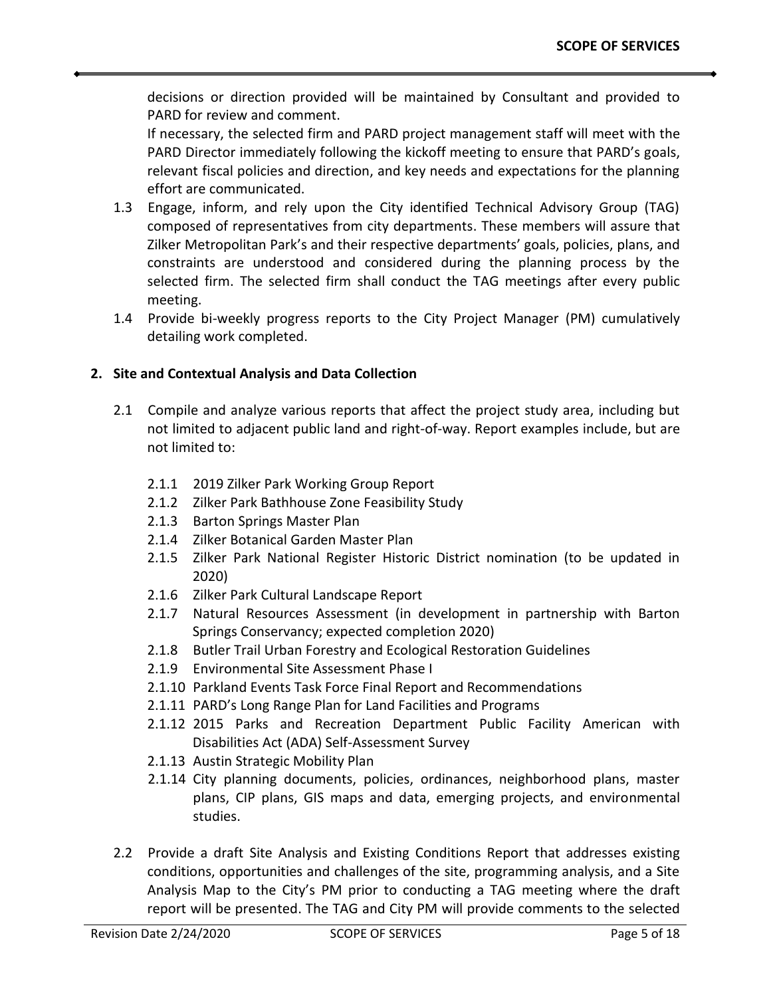decisions or direction provided will be maintained by Consultant and provided to PARD for review and comment.

If necessary, the selected firm and PARD project management staff will meet with the PARD Director immediately following the kickoff meeting to ensure that PARD's goals, relevant fiscal policies and direction, and key needs and expectations for the planning effort are communicated.

- 1.3 Engage, inform, and rely upon the City identified Technical Advisory Group (TAG) composed of representatives from city departments. These members will assure that Zilker Metropolitan Park's and their respective departments' goals, policies, plans, and constraints are understood and considered during the planning process by the selected firm. The selected firm shall conduct the TAG meetings after every public meeting.
- 1.4 Provide bi-weekly progress reports to the City Project Manager (PM) cumulatively detailing work completed.

## **2. Site and Contextual Analysis and Data Collection**

- 2.1 Compile and analyze various reports that affect the project study area, including but not limited to adjacent public land and right-of-way. Report examples include, but are not limited to:
	- 2.1.1 2019 Zilker Park Working Group Report
	- 2.1.2 Zilker Park Bathhouse Zone Feasibility Study
	- 2.1.3 Barton Springs Master Plan
	- 2.1.4 Zilker Botanical Garden Master Plan
	- 2.1.5 Zilker Park National Register Historic District nomination (to be updated in 2020)
	- 2.1.6 Zilker Park Cultural Landscape Report
	- 2.1.7 Natural Resources Assessment (in development in partnership with Barton Springs Conservancy; expected completion 2020)
	- 2.1.8 Butler Trail Urban Forestry and Ecological Restoration Guidelines
	- 2.1.9 Environmental Site Assessment Phase I
	- 2.1.10 Parkland Events Task Force Final Report and Recommendations
	- 2.1.11 PARD's Long Range Plan for Land Facilities and Programs
	- 2.1.12 2015 Parks and Recreation Department Public Facility American with Disabilities Act (ADA) Self-Assessment Survey
	- 2.1.13 Austin Strategic Mobility Plan
	- 2.1.14 City planning documents, policies, ordinances, neighborhood plans, master plans, CIP plans, GIS maps and data, emerging projects, and environmental studies.
- 2.2 Provide a draft Site Analysis and Existing Conditions Report that addresses existing conditions, opportunities and challenges of the site, programming analysis, and a Site Analysis Map to the City's PM prior to conducting a TAG meeting where the draft report will be presented. The TAG and City PM will provide comments to the selected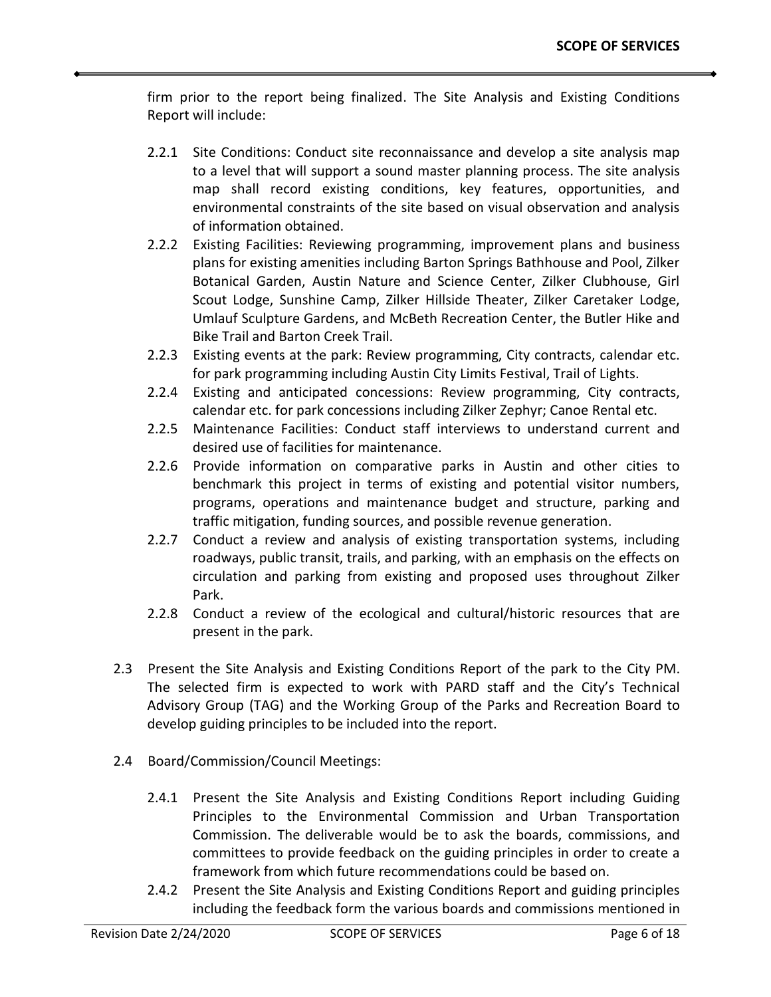firm prior to the report being finalized. The Site Analysis and Existing Conditions Report will include:

- 2.2.1 Site Conditions: Conduct site reconnaissance and develop a site analysis map to a level that will support a sound master planning process. The site analysis map shall record existing conditions, key features, opportunities, and environmental constraints of the site based on visual observation and analysis of information obtained.
- 2.2.2 Existing Facilities: Reviewing programming, improvement plans and business plans for existing amenities including Barton Springs Bathhouse and Pool, Zilker Botanical Garden, Austin Nature and Science Center, Zilker Clubhouse, Girl Scout Lodge, Sunshine Camp, Zilker Hillside Theater, Zilker Caretaker Lodge, Umlauf Sculpture Gardens, and McBeth Recreation Center, the Butler Hike and Bike Trail and Barton Creek Trail.
- 2.2.3 Existing events at the park: Review programming, City contracts, calendar etc. for park programming including Austin City Limits Festival, Trail of Lights.
- 2.2.4 Existing and anticipated concessions: Review programming, City contracts, calendar etc. for park concessions including Zilker Zephyr; Canoe Rental etc.
- 2.2.5 Maintenance Facilities: Conduct staff interviews to understand current and desired use of facilities for maintenance.
- 2.2.6 Provide information on comparative parks in Austin and other cities to benchmark this project in terms of existing and potential visitor numbers, programs, operations and maintenance budget and structure, parking and traffic mitigation, funding sources, and possible revenue generation.
- 2.2.7 Conduct a review and analysis of existing transportation systems, including roadways, public transit, trails, and parking, with an emphasis on the effects on circulation and parking from existing and proposed uses throughout Zilker Park.
- 2.2.8 Conduct a review of the ecological and cultural/historic resources that are present in the park.
- 2.3 Present the Site Analysis and Existing Conditions Report of the park to the City PM. The selected firm is expected to work with PARD staff and the City's Technical Advisory Group (TAG) and the Working Group of the Parks and Recreation Board to develop guiding principles to be included into the report.
- 2.4 Board/Commission/Council Meetings:
	- 2.4.1 Present the Site Analysis and Existing Conditions Report including Guiding Principles to the Environmental Commission and Urban Transportation Commission. The deliverable would be to ask the boards, commissions, and committees to provide feedback on the guiding principles in order to create a framework from which future recommendations could be based on.
	- 2.4.2 Present the Site Analysis and Existing Conditions Report and guiding principles including the feedback form the various boards and commissions mentioned in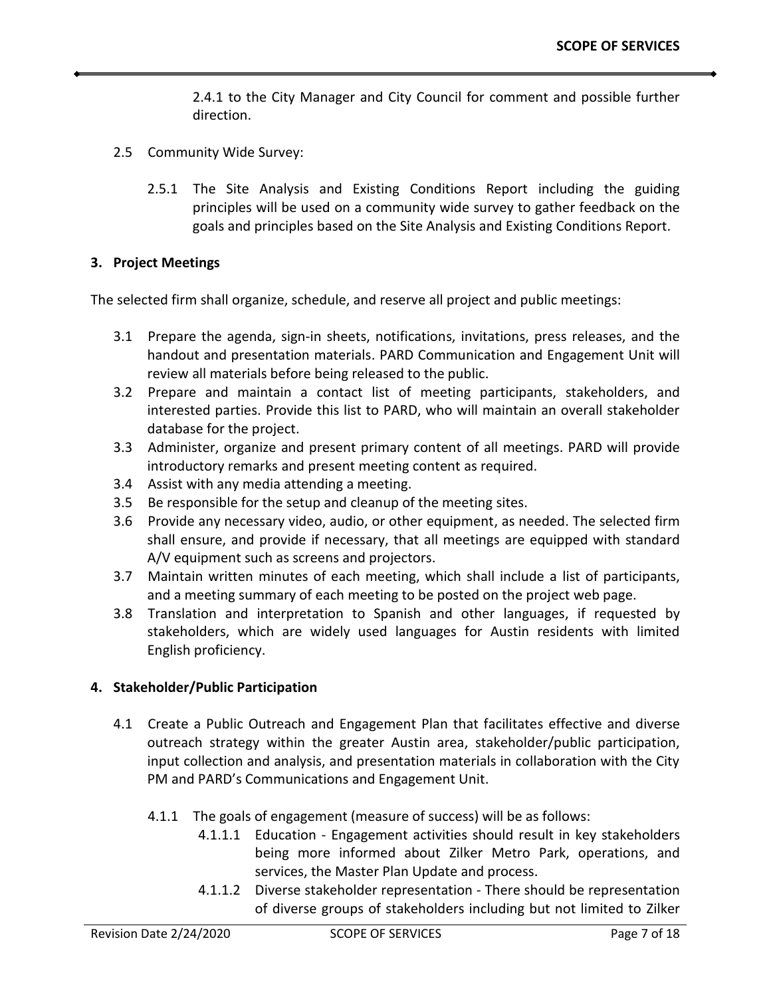2.4.1 to the City Manager and City Council for comment and possible further direction.

- 2.5 Community Wide Survey:
	- 2.5.1 The Site Analysis and Existing Conditions Report including the guiding principles will be used on a community wide survey to gather feedback on the goals and principles based on the Site Analysis and Existing Conditions Report.

#### **3. Project Meetings**

The selected firm shall organize, schedule, and reserve all project and public meetings:

- 3.1 Prepare the agenda, sign-in sheets, notifications, invitations, press releases, and the handout and presentation materials. PARD Communication and Engagement Unit will review all materials before being released to the public.
- 3.2 Prepare and maintain a contact list of meeting participants, stakeholders, and interested parties. Provide this list to PARD, who will maintain an overall stakeholder database for the project.
- 3.3 Administer, organize and present primary content of all meetings. PARD will provide introductory remarks and present meeting content as required.
- 3.4 Assist with any media attending a meeting.
- 3.5 Be responsible for the setup and cleanup of the meeting sites.
- 3.6 Provide any necessary video, audio, or other equipment, as needed. The selected firm shall ensure, and provide if necessary, that all meetings are equipped with standard A/V equipment such as screens and projectors.
- 3.7 Maintain written minutes of each meeting, which shall include a list of participants, and a meeting summary of each meeting to be posted on the project web page.
- 3.8 Translation and interpretation to Spanish and other languages, if requested by stakeholders, which are widely used languages for Austin residents with limited English proficiency.

## **4. Stakeholder/Public Participation**

- 4.1 Create a Public Outreach and Engagement Plan that facilitates effective and diverse outreach strategy within the greater Austin area, stakeholder/public participation, input collection and analysis, and presentation materials in collaboration with the City PM and PARD's Communications and Engagement Unit.
	- 4.1.1 The goals of engagement (measure of success) will be as follows:
		- 4.1.1.1 Education Engagement activities should result in key stakeholders being more informed about Zilker Metro Park, operations, and services, the Master Plan Update and process.
		- 4.1.1.2 Diverse stakeholder representation There should be representation of diverse groups of stakeholders including but not limited to Zilker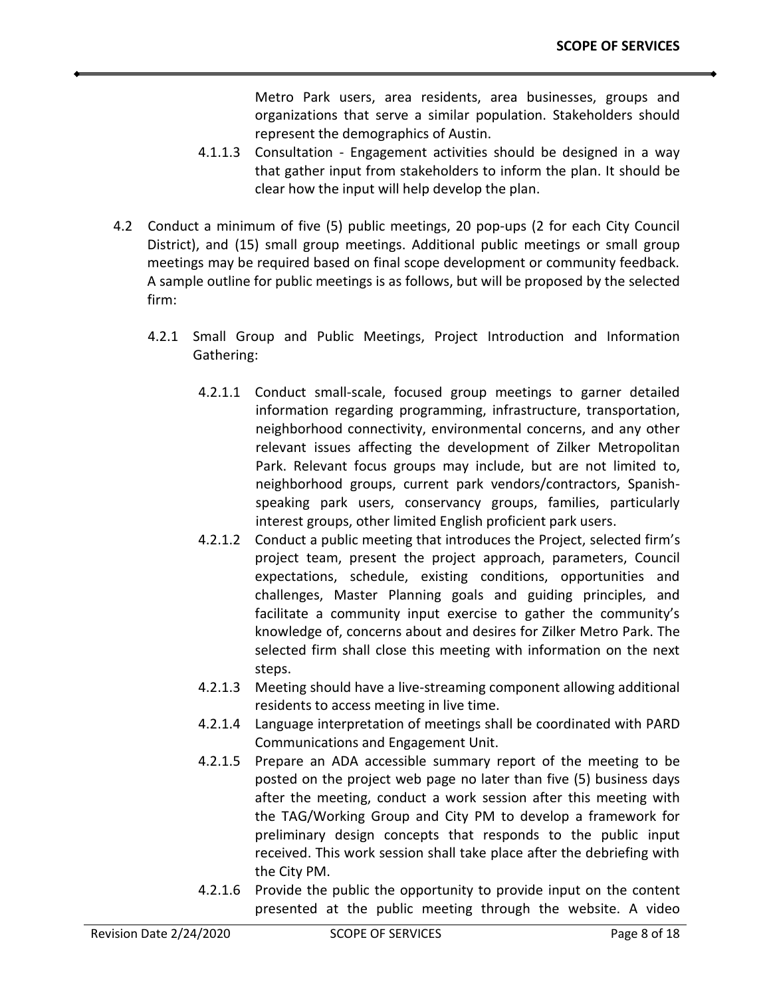Metro Park users, area residents, area businesses, groups and organizations that serve a similar population. Stakeholders should represent the demographics of Austin.

- 4.1.1.3 Consultation Engagement activities should be designed in a way that gather input from stakeholders to inform the plan. It should be clear how the input will help develop the plan.
- 4.2 Conduct a minimum of five (5) public meetings, 20 pop-ups (2 for each City Council District), and (15) small group meetings. Additional public meetings or small group meetings may be required based on final scope development or community feedback. A sample outline for public meetings is as follows, but will be proposed by the selected firm:
	- 4.2.1 Small Group and Public Meetings, Project Introduction and Information Gathering:
		- 4.2.1.1 Conduct small-scale, focused group meetings to garner detailed information regarding programming, infrastructure, transportation, neighborhood connectivity, environmental concerns, and any other relevant issues affecting the development of Zilker Metropolitan Park. Relevant focus groups may include, but are not limited to, neighborhood groups, current park vendors/contractors, Spanishspeaking park users, conservancy groups, families, particularly interest groups, other limited English proficient park users.
		- 4.2.1.2 Conduct a public meeting that introduces the Project, selected firm's project team, present the project approach, parameters, Council expectations, schedule, existing conditions, opportunities and challenges, Master Planning goals and guiding principles, and facilitate a community input exercise to gather the community's knowledge of, concerns about and desires for Zilker Metro Park. The selected firm shall close this meeting with information on the next steps.
		- 4.2.1.3 Meeting should have a live-streaming component allowing additional residents to access meeting in live time.
		- 4.2.1.4 Language interpretation of meetings shall be coordinated with PARD Communications and Engagement Unit.
		- 4.2.1.5 Prepare an ADA accessible summary report of the meeting to be posted on the project web page no later than five (5) business days after the meeting, conduct a work session after this meeting with the TAG/Working Group and City PM to develop a framework for preliminary design concepts that responds to the public input received. This work session shall take place after the debriefing with the City PM.
		- 4.2.1.6 Provide the public the opportunity to provide input on the content presented at the public meeting through the website. A video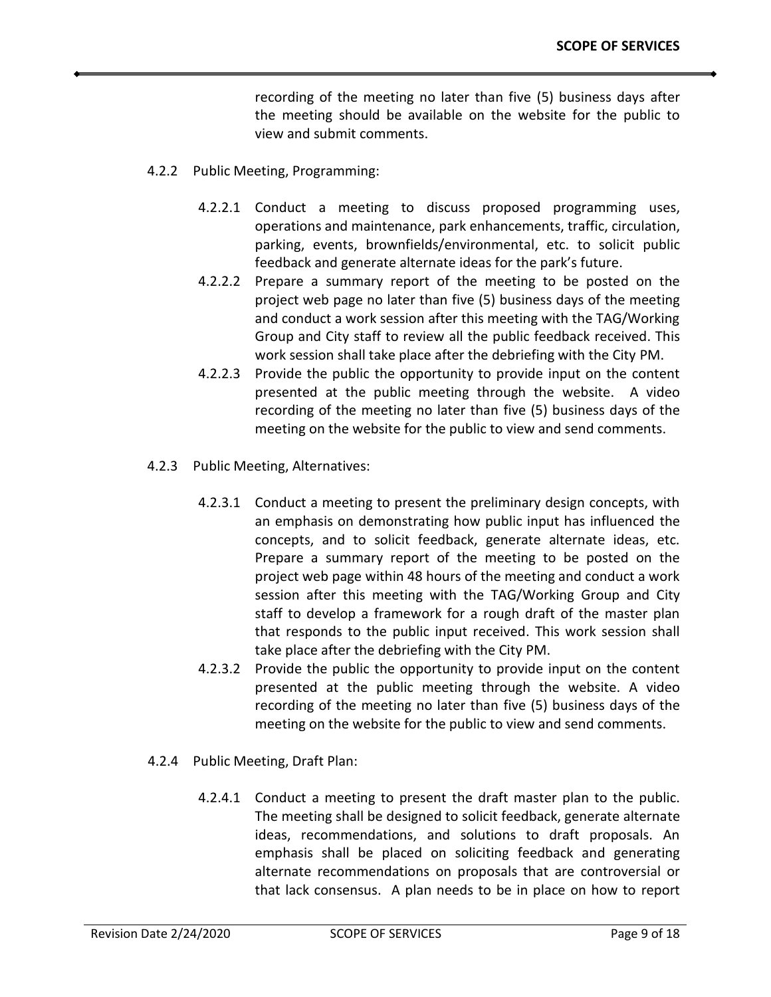recording of the meeting no later than five (5) business days after the meeting should be available on the website for the public to view and submit comments.

- 4.2.2 Public Meeting, Programming:
	- 4.2.2.1 Conduct a meeting to discuss proposed programming uses, operations and maintenance, park enhancements, traffic, circulation, parking, events, brownfields/environmental, etc. to solicit public feedback and generate alternate ideas for the park's future.
	- 4.2.2.2 Prepare a summary report of the meeting to be posted on the project web page no later than five (5) business days of the meeting and conduct a work session after this meeting with the TAG/Working Group and City staff to review all the public feedback received. This work session shall take place after the debriefing with the City PM.
	- 4.2.2.3 Provide the public the opportunity to provide input on the content presented at the public meeting through the website. A video recording of the meeting no later than five (5) business days of the meeting on the website for the public to view and send comments.
- 4.2.3 Public Meeting, Alternatives:
	- 4.2.3.1 Conduct a meeting to present the preliminary design concepts, with an emphasis on demonstrating how public input has influenced the concepts, and to solicit feedback, generate alternate ideas, etc. Prepare a summary report of the meeting to be posted on the project web page within 48 hours of the meeting and conduct a work session after this meeting with the TAG/Working Group and City staff to develop a framework for a rough draft of the master plan that responds to the public input received. This work session shall take place after the debriefing with the City PM.
	- 4.2.3.2 Provide the public the opportunity to provide input on the content presented at the public meeting through the website. A video recording of the meeting no later than five (5) business days of the meeting on the website for the public to view and send comments.
- 4.2.4 Public Meeting, Draft Plan:
	- 4.2.4.1 Conduct a meeting to present the draft master plan to the public. The meeting shall be designed to solicit feedback, generate alternate ideas, recommendations, and solutions to draft proposals. An emphasis shall be placed on soliciting feedback and generating alternate recommendations on proposals that are controversial or that lack consensus. A plan needs to be in place on how to report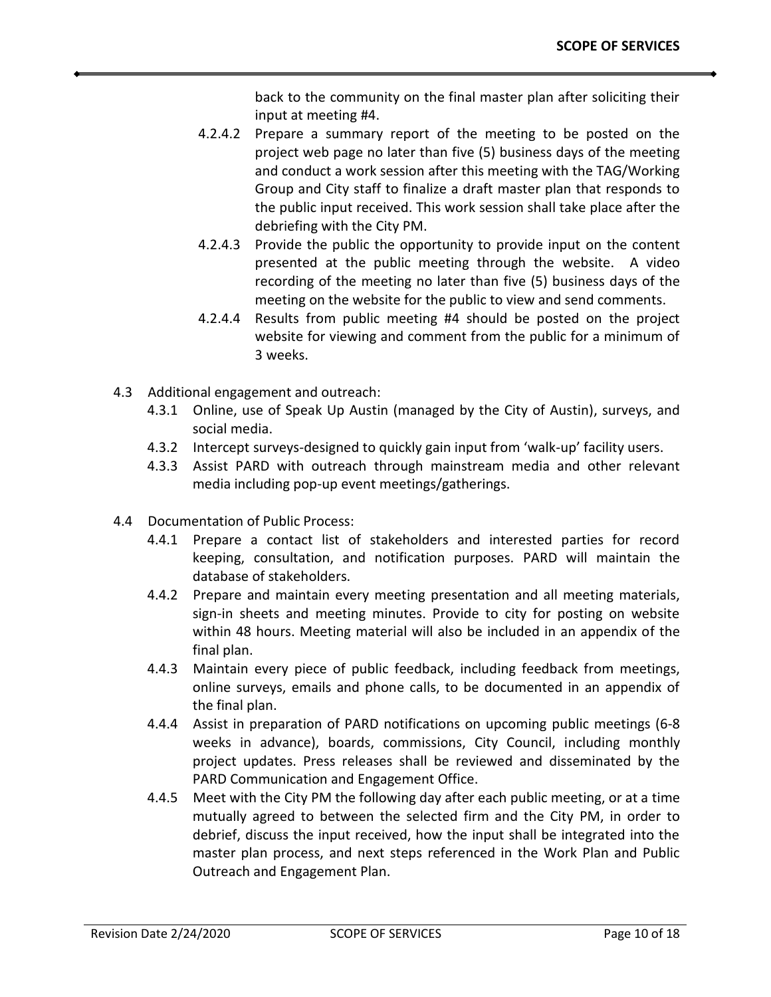back to the community on the final master plan after soliciting their input at meeting #4.

- 4.2.4.2 Prepare a summary report of the meeting to be posted on the project web page no later than five (5) business days of the meeting and conduct a work session after this meeting with the TAG/Working Group and City staff to finalize a draft master plan that responds to the public input received. This work session shall take place after the debriefing with the City PM.
- 4.2.4.3 Provide the public the opportunity to provide input on the content presented at the public meeting through the website. A video recording of the meeting no later than five (5) business days of the meeting on the website for the public to view and send comments.
- 4.2.4.4 Results from public meeting #4 should be posted on the project website for viewing and comment from the public for a minimum of 3 weeks.
- 4.3 Additional engagement and outreach:
	- 4.3.1 Online, use of Speak Up Austin (managed by the City of Austin), surveys, and social media.
	- 4.3.2 Intercept surveys-designed to quickly gain input from 'walk-up' facility users.
	- 4.3.3 Assist PARD with outreach through mainstream media and other relevant media including pop-up event meetings/gatherings.
- 4.4 Documentation of Public Process:
	- 4.4.1 Prepare a contact list of stakeholders and interested parties for record keeping, consultation, and notification purposes. PARD will maintain the database of stakeholders.
	- 4.4.2 Prepare and maintain every meeting presentation and all meeting materials, sign-in sheets and meeting minutes. Provide to city for posting on website within 48 hours. Meeting material will also be included in an appendix of the final plan.
	- 4.4.3 Maintain every piece of public feedback, including feedback from meetings, online surveys, emails and phone calls, to be documented in an appendix of the final plan.
	- 4.4.4 Assist in preparation of PARD notifications on upcoming public meetings (6-8 weeks in advance), boards, commissions, City Council, including monthly project updates. Press releases shall be reviewed and disseminated by the PARD Communication and Engagement Office.
	- 4.4.5 Meet with the City PM the following day after each public meeting, or at a time mutually agreed to between the selected firm and the City PM, in order to debrief, discuss the input received, how the input shall be integrated into the master plan process, and next steps referenced in the Work Plan and Public Outreach and Engagement Plan.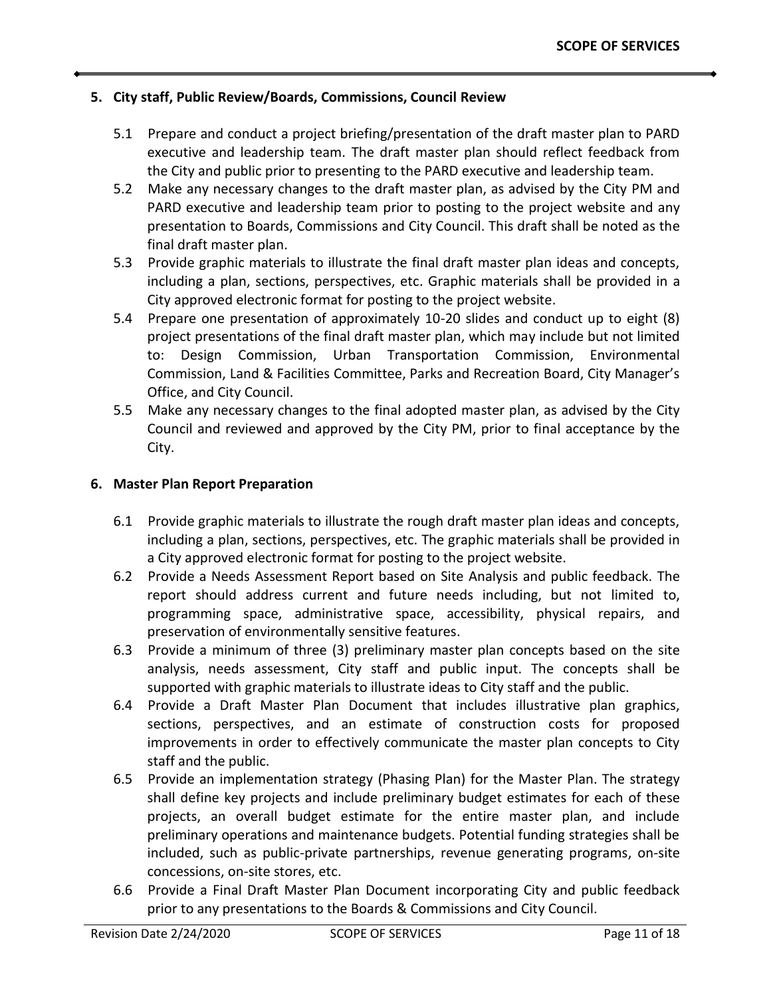## **5. City staff, Public Review/Boards, Commissions, Council Review**

- 5.1 Prepare and conduct a project briefing/presentation of the draft master plan to PARD executive and leadership team. The draft master plan should reflect feedback from the City and public prior to presenting to the PARD executive and leadership team.
- 5.2 Make any necessary changes to the draft master plan, as advised by the City PM and PARD executive and leadership team prior to posting to the project website and any presentation to Boards, Commissions and City Council. This draft shall be noted as the final draft master plan.
- 5.3 Provide graphic materials to illustrate the final draft master plan ideas and concepts, including a plan, sections, perspectives, etc. Graphic materials shall be provided in a City approved electronic format for posting to the project website.
- 5.4 Prepare one presentation of approximately 10-20 slides and conduct up to eight (8) project presentations of the final draft master plan, which may include but not limited to: Design Commission, Urban Transportation Commission, Environmental Commission, Land & Facilities Committee, Parks and Recreation Board, City Manager's Office, and City Council.
- 5.5 Make any necessary changes to the final adopted master plan, as advised by the City Council and reviewed and approved by the City PM, prior to final acceptance by the City.

#### **6. Master Plan Report Preparation**

- 6.1 Provide graphic materials to illustrate the rough draft master plan ideas and concepts, including a plan, sections, perspectives, etc. The graphic materials shall be provided in a City approved electronic format for posting to the project website.
- 6.2 Provide a Needs Assessment Report based on Site Analysis and public feedback. The report should address current and future needs including, but not limited to, programming space, administrative space, accessibility, physical repairs, and preservation of environmentally sensitive features.
- 6.3 Provide a minimum of three (3) preliminary master plan concepts based on the site analysis, needs assessment, City staff and public input. The concepts shall be supported with graphic materials to illustrate ideas to City staff and the public.
- 6.4 Provide a Draft Master Plan Document that includes illustrative plan graphics, sections, perspectives, and an estimate of construction costs for proposed improvements in order to effectively communicate the master plan concepts to City staff and the public.
- 6.5 Provide an implementation strategy (Phasing Plan) for the Master Plan. The strategy shall define key projects and include preliminary budget estimates for each of these projects, an overall budget estimate for the entire master plan, and include preliminary operations and maintenance budgets. Potential funding strategies shall be included, such as public-private partnerships, revenue generating programs, on-site concessions, on-site stores, etc.
- 6.6 Provide a Final Draft Master Plan Document incorporating City and public feedback prior to any presentations to the Boards & Commissions and City Council.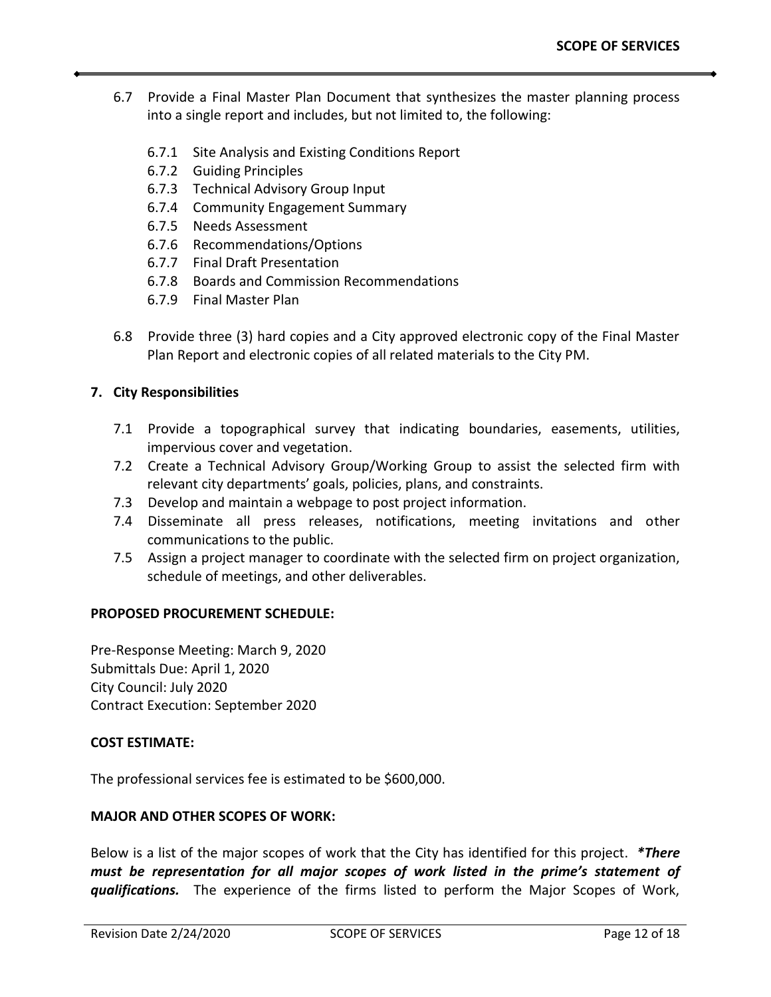- 6.7 Provide a Final Master Plan Document that synthesizes the master planning process into a single report and includes, but not limited to, the following:
	- 6.7.1 Site Analysis and Existing Conditions Report
	- 6.7.2 Guiding Principles
	- 6.7.3 Technical Advisory Group Input
	- 6.7.4 Community Engagement Summary
	- 6.7.5 Needs Assessment
	- 6.7.6 Recommendations/Options
	- 6.7.7 Final Draft Presentation
	- 6.7.8 Boards and Commission Recommendations
	- 6.7.9 Final Master Plan
- 6.8 Provide three (3) hard copies and a City approved electronic copy of the Final Master Plan Report and electronic copies of all related materials to the City PM.

## **7. City Responsibilities**

- 7.1 Provide a topographical survey that indicating boundaries, easements, utilities, impervious cover and vegetation.
- 7.2 Create a Technical Advisory Group/Working Group to assist the selected firm with relevant city departments' goals, policies, plans, and constraints.
- 7.3 Develop and maintain a webpage to post project information.
- 7.4 Disseminate all press releases, notifications, meeting invitations and other communications to the public.
- 7.5 Assign a project manager to coordinate with the selected firm on project organization, schedule of meetings, and other deliverables.

## **PROPOSED PROCUREMENT SCHEDULE:**

Pre-Response Meeting: March 9, 2020 Submittals Due: April 1, 2020 City Council: July 2020 Contract Execution: September 2020

#### **COST ESTIMATE:**

The professional services fee is estimated to be \$600,000.

#### **MAJOR AND OTHER SCOPES OF WORK:**

Below is a list of the major scopes of work that the City has identified for this project. *\*There must be representation for all major scopes of work listed in the prime's statement of qualifications.* The experience of the firms listed to perform the Major Scopes of Work,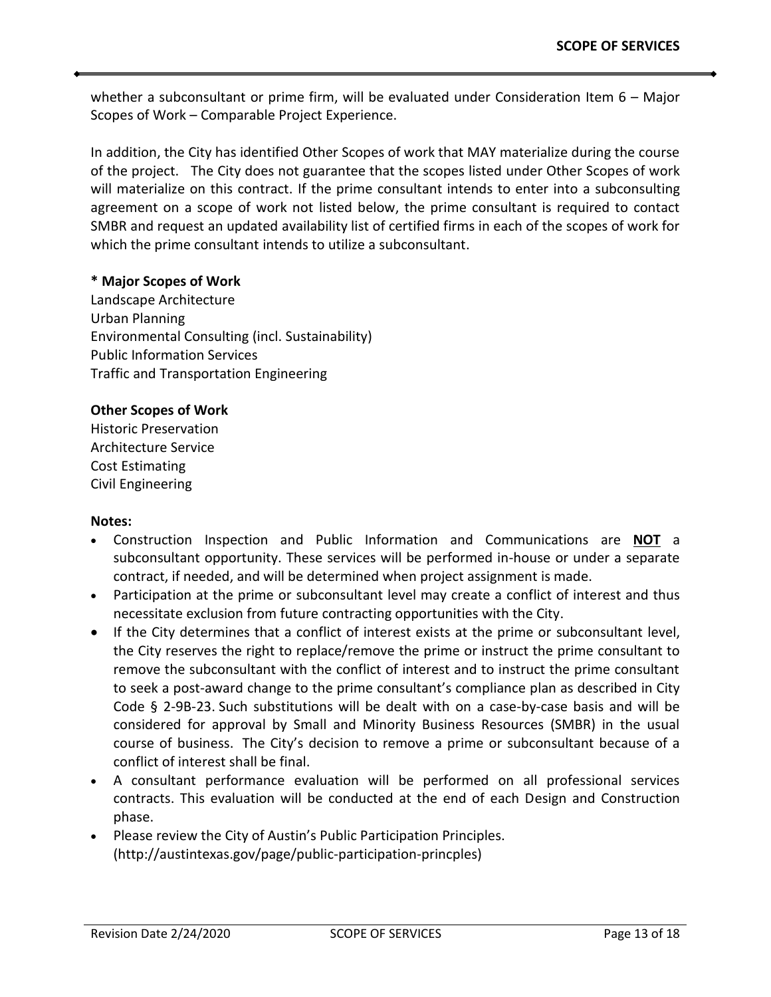whether a subconsultant or prime firm, will be evaluated under Consideration Item 6 - Major Scopes of Work – Comparable Project Experience.

In addition, the City has identified Other Scopes of work that MAY materialize during the course of the project. The City does not guarantee that the scopes listed under Other Scopes of work will materialize on this contract. If the prime consultant intends to enter into a subconsulting agreement on a scope of work not listed below, the prime consultant is required to contact SMBR and request an updated availability list of certified firms in each of the scopes of work for which the prime consultant intends to utilize a subconsultant.

#### **\* Major Scopes of Work**

Landscape Architecture Urban Planning Environmental Consulting (incl. Sustainability) Public Information Services Traffic and Transportation Engineering

#### **Other Scopes of Work**

Historic Preservation Architecture Service Cost Estimating Civil Engineering

#### **Notes:**

- Construction Inspection and Public Information and Communications are **NOT** a subconsultant opportunity. These services will be performed in-house or under a separate contract, if needed, and will be determined when project assignment is made.
- Participation at the prime or subconsultant level may create a conflict of interest and thus necessitate exclusion from future contracting opportunities with the City.
- If the City determines that a conflict of interest exists at the prime or subconsultant level, the City reserves the right to replace/remove the prime or instruct the prime consultant to remove the subconsultant with the conflict of interest and to instruct the prime consultant to seek a post-award change to the prime consultant's compliance plan as described in City Code § 2-9B-23. Such substitutions will be dealt with on a case-by-case basis and will be considered for approval by Small and Minority Business Resources (SMBR) in the usual course of business. The City's decision to remove a prime or subconsultant because of a conflict of interest shall be final.
- A consultant performance evaluation will be performed on all professional services contracts. This evaluation will be conducted at the end of each Design and Construction phase.
- Please review the City of Austin's Public Participation Principles. (http://austintexas.gov/page/public-participation-princples)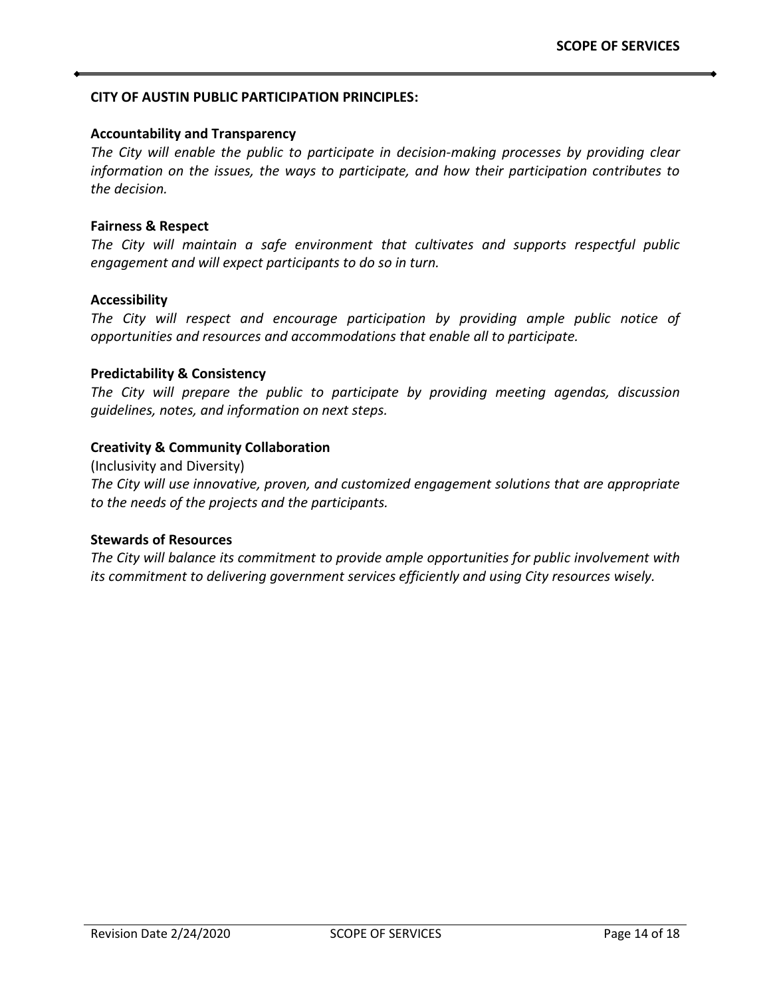#### **CITY OF AUSTIN PUBLIC PARTICIPATION PRINCIPLES:**

#### **Accountability and Transparency**

*The City will enable the public to participate in decision-making processes by providing clear information on the issues, the ways to participate, and how their participation contributes to the decision.*

#### **Fairness & Respect**

*The City will maintain a safe environment that cultivates and supports respectful public engagement and will expect participants to do so in turn.*

#### **Accessibility**

*The City will respect and encourage participation by providing ample public notice of opportunities and resources and accommodations that enable all to participate.*

#### **Predictability & Consistency**

*The City will prepare the public to participate by providing meeting agendas, discussion guidelines, notes, and information on next steps.*

#### **Creativity & Community Collaboration**

(Inclusivity and Diversity) *The City will use innovative, proven, and customized engagement solutions that are appropriate to the needs of the projects and the participants.*

## **Stewards of Resources**

*The City will balance its commitment to provide ample opportunities for public involvement with its commitment to delivering government services efficiently and using City resources wisely.*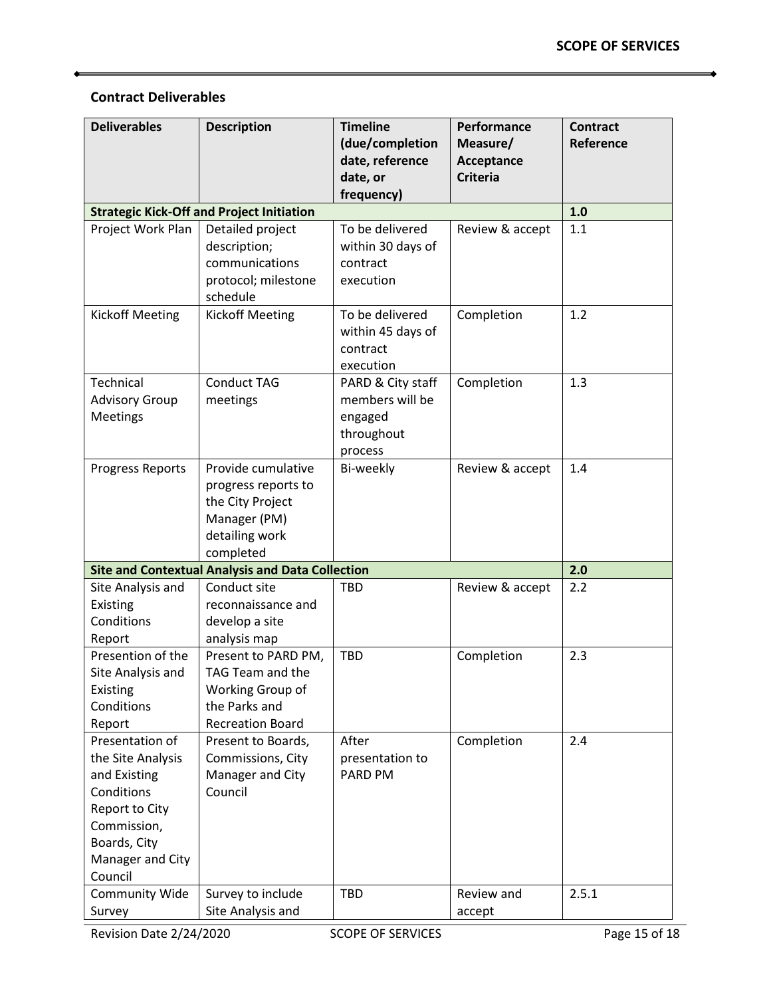## **Contract Deliverables**

| <b>Deliverables</b>       | <b>Description</b>                                      | <b>Timeline</b><br>(due/completion | Performance<br>Measure/       | <b>Contract</b><br>Reference |
|---------------------------|---------------------------------------------------------|------------------------------------|-------------------------------|------------------------------|
|                           |                                                         | date, reference                    | Acceptance<br><b>Criteria</b> |                              |
|                           |                                                         | date, or<br>frequency)             |                               |                              |
|                           | <b>Strategic Kick-Off and Project Initiation</b>        |                                    |                               | 1.0                          |
| Project Work Plan         | Detailed project                                        | To be delivered                    | Review & accept               | 1.1                          |
|                           | description;                                            | within 30 days of                  |                               |                              |
|                           | communications                                          | contract                           |                               |                              |
|                           | protocol; milestone                                     | execution                          |                               |                              |
|                           | schedule                                                |                                    |                               |                              |
| <b>Kickoff Meeting</b>    | <b>Kickoff Meeting</b>                                  | To be delivered                    | Completion                    | 1.2                          |
|                           |                                                         | within 45 days of<br>contract      |                               |                              |
|                           |                                                         | execution                          |                               |                              |
| Technical                 | <b>Conduct TAG</b>                                      | PARD & City staff                  | Completion                    | 1.3                          |
| <b>Advisory Group</b>     | meetings                                                | members will be                    |                               |                              |
| Meetings                  |                                                         | engaged                            |                               |                              |
|                           |                                                         | throughout                         |                               |                              |
|                           |                                                         | process                            |                               |                              |
| Progress Reports          | Provide cumulative                                      | Bi-weekly                          | Review & accept               | 1.4                          |
|                           | progress reports to                                     |                                    |                               |                              |
|                           | the City Project                                        |                                    |                               |                              |
|                           | Manager (PM)<br>detailing work                          |                                    |                               |                              |
|                           | completed                                               |                                    |                               |                              |
|                           | <b>Site and Contextual Analysis and Data Collection</b> |                                    |                               | 2.0                          |
| Site Analysis and         | Conduct site                                            | <b>TBD</b>                         | Review & accept               | 2.2                          |
| Existing                  | reconnaissance and                                      |                                    |                               |                              |
| Conditions                | develop a site                                          |                                    |                               |                              |
| Report                    | analysis map                                            |                                    |                               |                              |
| Presention of the         | Present to PARD PM,                                     | <b>TBD</b>                         | Completion                    | 2.3                          |
| Site Analysis and         | TAG Team and the                                        |                                    |                               |                              |
| Existing                  | Working Group of<br>the Parks and                       |                                    |                               |                              |
| Conditions                | <b>Recreation Board</b>                                 |                                    |                               |                              |
| Report<br>Presentation of | Present to Boards,                                      | After                              | Completion                    | 2.4                          |
| the Site Analysis         | Commissions, City                                       | presentation to                    |                               |                              |
| and Existing              | Manager and City                                        | PARD PM                            |                               |                              |
| Conditions                | Council                                                 |                                    |                               |                              |
| Report to City            |                                                         |                                    |                               |                              |
| Commission,               |                                                         |                                    |                               |                              |
| Boards, City              |                                                         |                                    |                               |                              |
| Manager and City          |                                                         |                                    |                               |                              |
| Council                   |                                                         |                                    |                               |                              |
| Community Wide            | Survey to include                                       | TBD                                | Review and                    | 2.5.1                        |
| Survey                    | Site Analysis and                                       |                                    | accept                        |                              |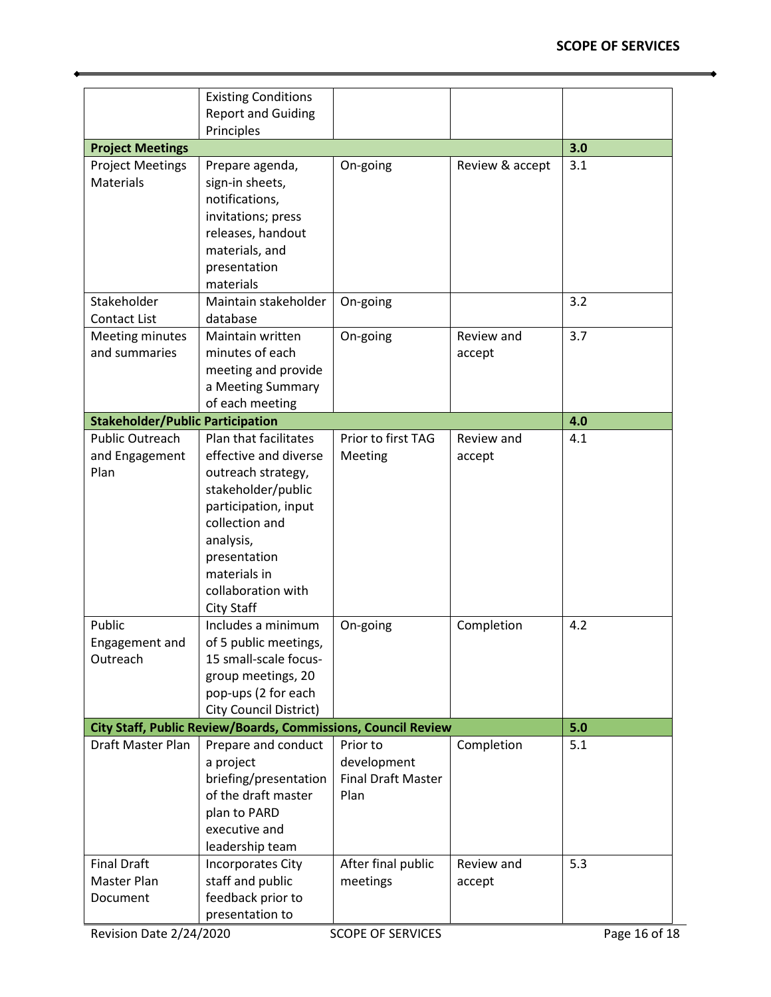ó

|                                                  | <b>Existing Conditions</b><br><b>Report and Guiding</b>                                                                                                                                                                      |                                                              |                      |               |
|--------------------------------------------------|------------------------------------------------------------------------------------------------------------------------------------------------------------------------------------------------------------------------------|--------------------------------------------------------------|----------------------|---------------|
|                                                  | Principles                                                                                                                                                                                                                   |                                                              |                      |               |
| <b>Project Meetings</b>                          |                                                                                                                                                                                                                              |                                                              |                      | 3.0           |
| <b>Project Meetings</b><br>Materials             | Prepare agenda,<br>sign-in sheets,<br>notifications,<br>invitations; press<br>releases, handout<br>materials, and<br>presentation<br>materials                                                                               | On-going                                                     | Review & accept      | 3.1           |
| Stakeholder                                      | Maintain stakeholder                                                                                                                                                                                                         | On-going                                                     |                      | 3.2           |
| Contact List                                     | database                                                                                                                                                                                                                     |                                                              |                      |               |
| Meeting minutes<br>and summaries                 | Maintain written<br>minutes of each<br>meeting and provide<br>a Meeting Summary<br>of each meeting                                                                                                                           | On-going                                                     | Review and<br>accept | 3.7           |
| <b>Stakeholder/Public Participation</b>          |                                                                                                                                                                                                                              |                                                              |                      | 4.0           |
| <b>Public Outreach</b><br>and Engagement<br>Plan | Plan that facilitates<br>effective and diverse<br>outreach strategy,<br>stakeholder/public<br>participation, input<br>collection and<br>analysis,<br>presentation<br>materials in<br>collaboration with<br><b>City Staff</b> | Prior to first TAG<br>Meeting                                | Review and<br>accept | 4.1           |
| Public<br>Engagement and<br>Outreach             | Includes a minimum<br>of 5 public meetings,<br>15 small-scale focus-<br>group meetings, 20<br>pop-ups (2 for each<br><b>City Council District)</b>                                                                           | On-going                                                     | Completion           | 4.2           |
|                                                  | City Staff, Public Review/Boards, Commissions, Council Review                                                                                                                                                                |                                                              |                      | 5.0           |
| Draft Master Plan                                | Prepare and conduct<br>a project<br>briefing/presentation<br>of the draft master<br>plan to PARD<br>executive and<br>leadership team                                                                                         | Prior to<br>development<br><b>Final Draft Master</b><br>Plan | Completion           | 5.1           |
| <b>Final Draft</b>                               | Incorporates City                                                                                                                                                                                                            | After final public                                           | Review and           | 5.3           |
| Master Plan<br>Document                          | staff and public<br>feedback prior to<br>presentation to                                                                                                                                                                     | meetings                                                     | accept               |               |
| Revision Date 2/24/2020                          |                                                                                                                                                                                                                              | <b>SCOPE OF SERVICES</b>                                     |                      | Page 16 of 18 |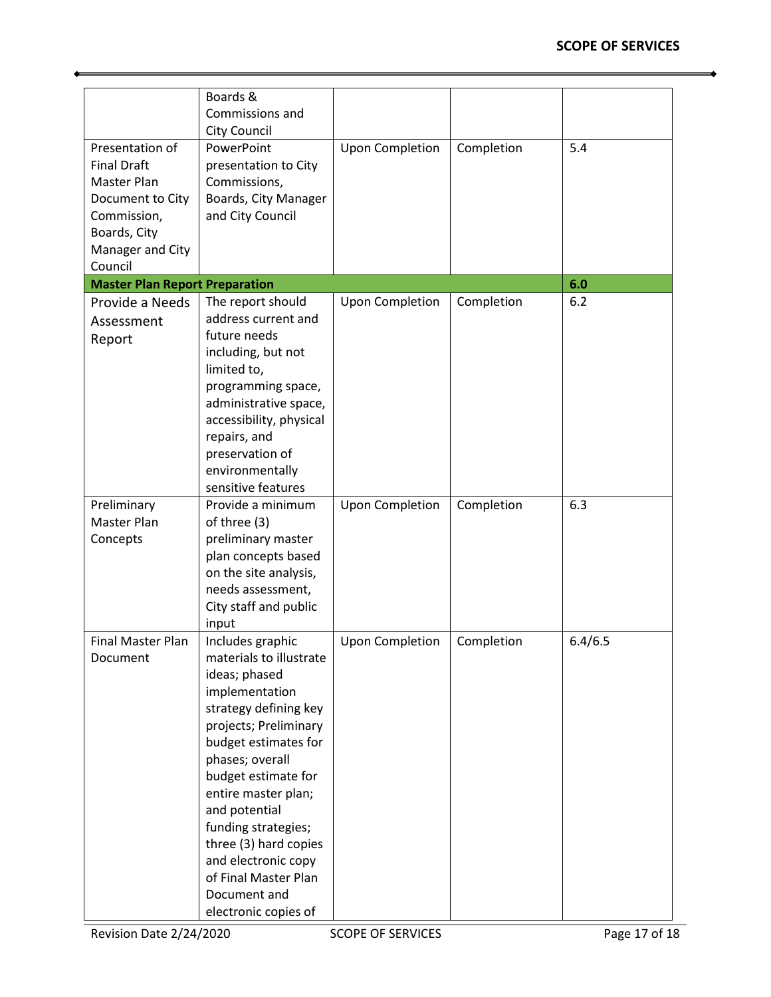|                                       | Boards &<br>Commissions and                                 |                        |            |         |
|---------------------------------------|-------------------------------------------------------------|------------------------|------------|---------|
|                                       | <b>City Council</b>                                         |                        |            |         |
| Presentation of                       | PowerPoint                                                  | <b>Upon Completion</b> | Completion | 5.4     |
| <b>Final Draft</b>                    | presentation to City                                        |                        |            |         |
| Master Plan                           | Commissions,                                                |                        |            |         |
| Document to City                      | Boards, City Manager                                        |                        |            |         |
| Commission,                           | and City Council                                            |                        |            |         |
| Boards, City                          |                                                             |                        |            |         |
| Manager and City                      |                                                             |                        |            |         |
| Council                               |                                                             |                        |            |         |
| <b>Master Plan Report Preparation</b> |                                                             |                        |            | 6.0     |
| Provide a Needs                       | The report should                                           | <b>Upon Completion</b> | Completion | 6.2     |
| Assessment                            | address current and                                         |                        |            |         |
| Report                                | future needs                                                |                        |            |         |
|                                       | including, but not                                          |                        |            |         |
|                                       | limited to,                                                 |                        |            |         |
|                                       | programming space,                                          |                        |            |         |
|                                       | administrative space,                                       |                        |            |         |
|                                       | accessibility, physical                                     |                        |            |         |
|                                       | repairs, and                                                |                        |            |         |
|                                       | preservation of                                             |                        |            |         |
|                                       | environmentally                                             |                        |            |         |
|                                       | sensitive features                                          |                        |            |         |
| Preliminary                           | Provide a minimum                                           | <b>Upon Completion</b> | Completion | 6.3     |
| Master Plan                           | of three (3)                                                |                        |            |         |
| Concepts                              | preliminary master                                          |                        |            |         |
|                                       | plan concepts based                                         |                        |            |         |
|                                       | on the site analysis,                                       |                        |            |         |
|                                       | needs assessment,                                           |                        |            |         |
|                                       | City staff and public                                       |                        |            |         |
|                                       | input                                                       |                        |            |         |
| Final Master Plan                     | Includes graphic                                            | <b>Upon Completion</b> | Completion | 6.4/6.5 |
| Document                              | materials to illustrate                                     |                        |            |         |
|                                       | ideas; phased                                               |                        |            |         |
|                                       | implementation                                              |                        |            |         |
|                                       | strategy defining key                                       |                        |            |         |
|                                       | projects; Preliminary                                       |                        |            |         |
|                                       | budget estimates for                                        |                        |            |         |
|                                       | phases; overall                                             |                        |            |         |
|                                       | budget estimate for                                         |                        |            |         |
|                                       | entire master plan;                                         |                        |            |         |
|                                       | and potential                                               |                        |            |         |
|                                       | funding strategies;                                         |                        |            |         |
|                                       | three (3) hard copies                                       |                        |            |         |
|                                       |                                                             |                        |            |         |
|                                       |                                                             |                        |            |         |
|                                       |                                                             |                        |            |         |
|                                       |                                                             |                        |            |         |
|                                       | and electronic copy<br>of Final Master Plan<br>Document and |                        |            |         |
|                                       | electronic copies of                                        |                        |            |         |